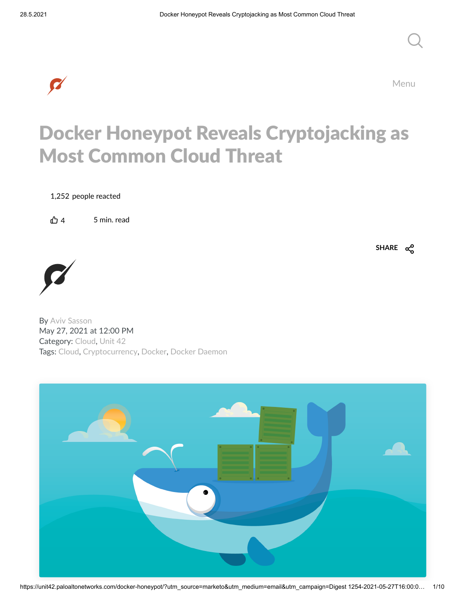

Menu

 $Q_{\parallel}$ 

## Docker Honeypot Reveals Cryptojacking as Most Common Cloud Threat

1,252 people reacted

 $\bigoplus$  4 5 min. read

**SHARE**



By Aviv [Sasson](https://unit42.paloaltonetworks.com/author/aviv-sasson/) May 27, 2021 at 12:00 PM Category: [Cloud](https://unit42.paloaltonetworks.com/category/cloud/), [Unit](https://unit42.paloaltonetworks.com/category/unit-42/) 42 Tags: [Cloud](https://unit42.paloaltonetworks.com/tag/cloud/), [Cryptocurrency](https://unit42.paloaltonetworks.com/tag/cryptocurrency/), [Docker](https://unit42.paloaltonetworks.com/tag/docker/), Docker [Daemon](https://unit42.paloaltonetworks.com/tag/docker-daemon/)

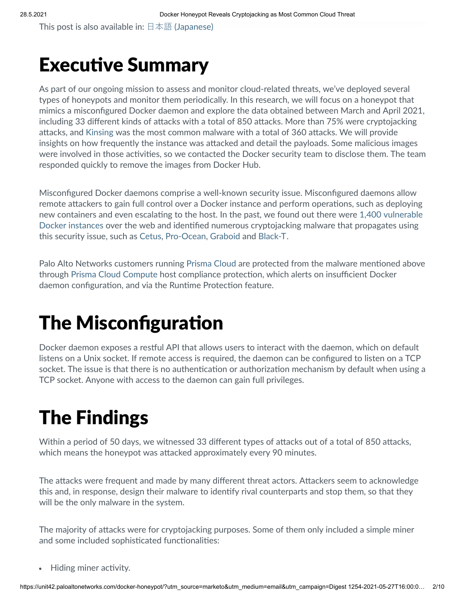This post is also available in:  $\exists$  本語 [\(Japanese\)](https://unit42.paloaltonetworks.jp/docker-honeypot/)

## **Executive Summary**

As part of our ongoing mission to assess and monitor cloud-related threats, we've deployed several types of honeypots and monitor them periodically. In this research, we will focus on a honeypot that mimics a misconfigured Docker daemon and explore the data obtained between March and April 2021, including 33 different kinds of attacks with a total of 850 attacks. More than 75% were cryptojacking attacks, and [Kinsing](https://unit42.paloaltonetworks.com/cve-2020-25213/) was the most common malware with a total of 360 attacks. We will provide insights on how frequently the instance was attacked and detail the payloads. Some malicious images were involved in those activities, so we contacted the Docker security team to disclose them. The team responded quickly to remove the images from Docker Hub.

Misconfigured Docker daemons comprise a well-known security issue. Misconfigured daemons allow remote attackers to gain full control over a Docker instance and perform operations, such as deploying new containers and even escalating to the host. In the past, we found out there were 1,400 vulnerable Docker instances over the web and identified numerous [cryptojacking](https://unit42.paloaltonetworks.com/attackers-tactics-and-techniques-in-unsecured-docker-daemons-revealed/) malware that propagates using this security issue, such as [Cetus,](https://unit42.paloaltonetworks.com/cetus-cryptojacking-worm/) [Pro-Ocean](https://unit42.paloaltonetworks.com/pro-ocean-rocke-groups-new-cryptojacking-malware/), [Graboid](https://unit42.paloaltonetworks.com/graboid-first-ever-cryptojacking-worm-found-in-images-on-docker-hub/) and [Black-T.](https://unit42.paloaltonetworks.com/black-t-cryptojacking-variant/)

Palo Alto Networks customers running [Prisma](https://www.paloaltonetworks.com/prisma/cloud) Cloud are protected from the malware mentioned above through Prisma Cloud [Compute](https://www.paloaltonetworks.com/resources/datasheets/prisma-cloud-compute-edition) host compliance protection, which alerts on insufficient Docker daemon configuration, and via the Runtime Protection feature.

## **The Misconfiguration**

Docker daemon exposes a restful API that allows users to interact with the daemon, which on default listens on a Unix socket. If remote access is required, the daemon can be configured to listen on a TCP socket. The issue is that there is no authentication or authorization mechanism by default when using a TCP socket. Anyone with access to the daemon can gain full privileges.

# The Findings

Within a period of 50 days, we witnessed 33 different types of attacks out of a total of 850 attacks, which means the honeypot was attacked approximately every 90 minutes.

The attacks were frequent and made by many different threat actors. Attackers seem to acknowledge this and, in response, design their malware to identify rival counterparts and stop them, so that they will be the only malware in the system.

The majority of attacks were for cryptojacking purposes. Some of them only included a simple miner and some included sophisticated functionalities:

Hiding miner activity.  $\bullet$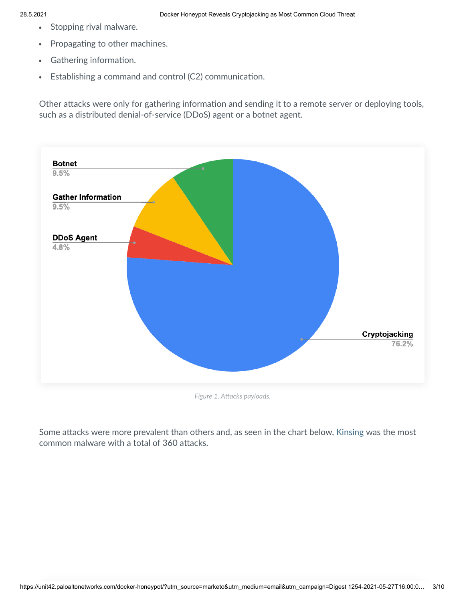- Stopping rival malware.  $\bullet$
- Propagating to other machines.  $\bullet$
- Gathering information.  $\bullet$
- Establishing a command and control (C2) communication.  $\bullet$

Other attacks were only for gathering information and sending it to a remote server or deploying tools, such as a distributed denial-of-service (DDoS) agent or a botnet agent.



 $Figure 1.$  *Attacks payloads.* 

Some attacks were more prevalent than others and, as seen in the chart below, [Kinsing](https://unit42.paloaltonetworks.com/cve-2020-25213/) was the most common malware with a total of 360 attacks.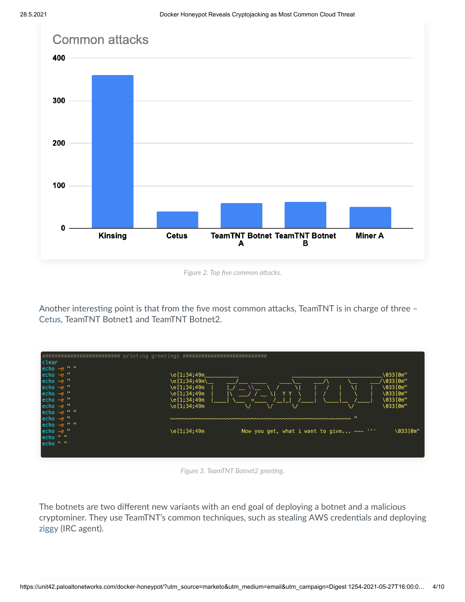

*Figure* 2. *Top five common attacks.* 

Another interesting point is that from the five most common attacks, TeamTNT is in charge of three -[Cetus](https://unit42.paloaltonetworks.com/cetus-cryptojacking-worm/), TeamTNT Botnet1 and TeamTNT Botnet2.

| clear<br>echo $-e$ " "                                              |                                                                                               |
|---------------------------------------------------------------------|-----------------------------------------------------------------------------------------------|
| $-e^{-u}$<br>echo<br>$-e^{-u}$<br>echo<br>$-e^{-u}$<br>echo         | \033 [0m"<br>\e[1;34;49m<br>\033 [0m"<br>\e[1;34;49m\<br>\033[0m"<br>\e[1;34;49m              |
| $-e^{-u}$<br>echo<br>echo $-e$ "<br>$echo -e$ "                     | \033[0m"<br>\e[1;34;49m<br>\033 [0m"<br>e[1;34;49m\<br>\033[0m"<br>e[1;34;49m\<br>$\lambda$ / |
| echo $-e$ " "<br>$echo -e$ "<br>echo $-e$ " "                       |                                                                                               |
| $echo -e$ "<br>$\mathbf{u}$ and<br>echo<br>$\mathbf{u}$ and<br>echo | Now you get, what i want to give --- '''<br>\033 [0m"<br>\e[1;34;49m                          |
|                                                                     |                                                                                               |

*Figure* 3. *TeamTNT Botnet2 greeting*.

The botnets are two different new variants with an end goal of deploying a botnet and a malicious cryptominer. They use TeamTNT's common techniques, such as stealing AWS credentials and deploying [ziggy](https://github.com/isdrupter/ziggystartux) (IRC agent).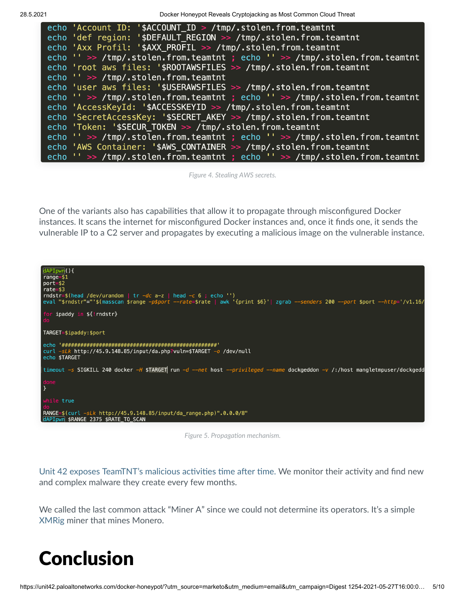28.5.2021 Docker Honeypot Reveals Cryptojacking as Most Common Cloud Threat

| echo 'Account ID: '\$ACCOUNT ID > $\mathcal{L}$ /tmp/.stolen.from.teamtnt        |
|----------------------------------------------------------------------------------|
| echo 'def region: '\$DEFAULT_REGION >> /tmp/.stolen.from.teamtnt                 |
| echo 'Axx Profil: '\$AXX_PROFIL >> /tmp/.stolen.from.teamtnt                     |
| echo '' $\gg$ /tmp/.stolen.from.teamtnt; echo '' $\gg$ /tmp/.stolen.from.teamtnt |
| echo 'root aws files: '\$ROOTAWSFILES >> /tmp/.stolen.from.teamtnt               |
| echo '' >> /tmp/.stolen.from.teamtnt                                             |
| echo 'user aws files: '\$USERAWSFILES >> /tmp/.stolen.from.teamtnt               |
| echo '' $\gg$ /tmp/.stolen.from.teamtnt; echo '' $\gg$ /tmp/.stolen.from.teamtnt |
| echo 'AccessKeyId: '\$ACCESSKEYID >> /tmp/.stolen.from.teamtnt                   |
| echo 'SecretAccessKey: '\$SECRET_AKEY >> /tmp/.stolen.from.teamtnt               |
| echo 'Token: '\$SECUR_TOKEN >> /tmp/.stolen.from.teamtnt                         |
| echo '' >> /tmp/.stolen.from.teamtnt ; echo '' >> /tmp/.stolen.from.teamtnt      |
| echo 'AWS Container: '\$AWS_CONTAINER >> /tmp/.stolen.from.teamtnt               |
| echo '' $\gg$ /tmp/.stolen.from.teamtnt; echo '' $\gg$ /tmp/.stolen.from.teamtnt |

*Figure 4. Stealing AWS secrets.*

One of the variants also has capabilities that allow it to propagate through misconfigured Docker instances. It scans the internet for misconfigured Docker instances and, once it finds one, it sends the vulnerable IP to a C2 server and propagates by executing a malicious image on the vulnerable instance.



*Figure* 5. Propagation mechanism.

Unit 42 exposes [TeamTNT's](https://unit42.paloaltonetworks.com/black-t-cryptojacking-variant/) malicious activities time after time. We monitor their activity and find new and complex malware they create every few months.

We called the last common attack "Miner A" since we could not determine its operators. It's a simple [XMRig](https://github.com/xmrig/xmrig) miner that mines Monero.

## Conclusion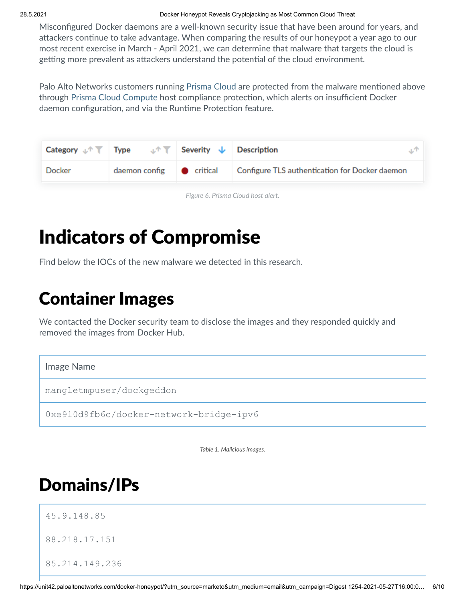#### 28.5.2021 Docker Honeypot Reveals Cryptojacking as Most Common Cloud Threat

Misconfigured Docker daemons are a well-known security issue that have been around for years, and attackers continue to take advantage. When comparing the results of our honeypot a year ago to our most recent exercise in March - April 2021, we can determine that malware that targets the cloud is getting more prevalent as attackers understand the potential of the cloud environment.

Palo Alto Networks customers running [Prisma](https://www.paloaltonetworks.com/prisma/cloud) Cloud are protected from the malware mentioned above through Prisma Cloud [Compute](https://www.paloaltonetworks.com/resources/datasheets/prisma-cloud-compute-edition) host compliance protection, which alerts on insufficient Docker daemon configuration, and via the Runtime Protection feature.

| Category $\downarrow \uparrow \top$ | Type          | $\mathbb{L}^{\uparrow}$ Severity $\downarrow$ Description |                                                |
|-------------------------------------|---------------|-----------------------------------------------------------|------------------------------------------------|
| Docker                              | daemon config | $\bullet$ critical                                        | Configure TLS authentication for Docker daemon |

*Figure 6. Prisma Cloud host alert.*

# Indicators of Compromise

Find below the IOCs of the new malware we detected in this research.

## Container Images

We contacted the Docker security team to disclose the images and they responded quickly and removed the images from Docker Hub.

Image Name

mangletmpuser/dockgeddon

0xe910d9fb6c/docker-network-bridge-ipv6

*Table 1. Malicious images.*

### Domains/IPs

45.9.148.85 88.218.17.151 85.214.149.236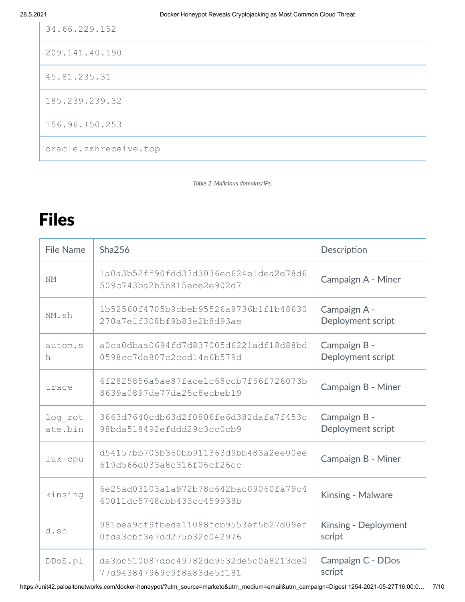| 34.66.229.152         |
|-----------------------|
| 209.141.40.190        |
| 45.81.235.31          |
| 185.239.239.32        |
| 156.96.150.253        |
| oracle.zzhreceive.top |

*Table 2. Malicious domains/IPs.*

## Files

| File Name          | <b>Sha256</b>                                                        | Description                       |
|--------------------|----------------------------------------------------------------------|-----------------------------------|
| NM                 | 1a0a3b52ff90fdd37d3036ec624e1dea2e78d6<br>509c743ba2b5b815ece2e902d7 | Campaign A - Miner                |
| NM.sh              | 1b52560f4705b9cbeb95526a9736b1f1b48630<br>270a7e1f308bf9b83e2b8d93ae | Campaign A -<br>Deployment script |
| autom.s<br>h       | a0ca0dbaa0694fd7d837005d6221adf18d88bd<br>0598cc7de807c2ccd14e6b579d | Campaign B -<br>Deployment script |
| trace              | 6f2825856a5ae87face1c68ccb7f56f726073b<br>8639a0897de77da25c8ecbeb19 | Campaign B - Miner                |
| log rot<br>ate.bin | 3663d7640cdb63d2f0806fe6d382dafa7f453c<br>98bda518492efddd29c3cc0cb9 | Campaign B -<br>Deployment script |
| luk-cpu            | d54157bb703b360bb911363d9bb483a2ee00ee<br>619d566d033a8c316f06cf26cc | Campaign B - Miner                |
| kinsing            | 6e25ad03103a1a972b78c642bac09060fa79c4<br>60011dc5748cbb433cc459938b | Kinsing - Malware                 |
| d.sh               | 981bea9cf9fbeda11088fcb9553ef5b27d09ef<br>0fda3cbf3e7dd275b32c042976 | Kinsing - Deployment<br>script    |
| DDoS.pl            | da3bc510087dbc49782dd9532de5c0a8213de0<br>77d943847969c9f8a83de5f181 | Campaign C - DDos<br>script       |